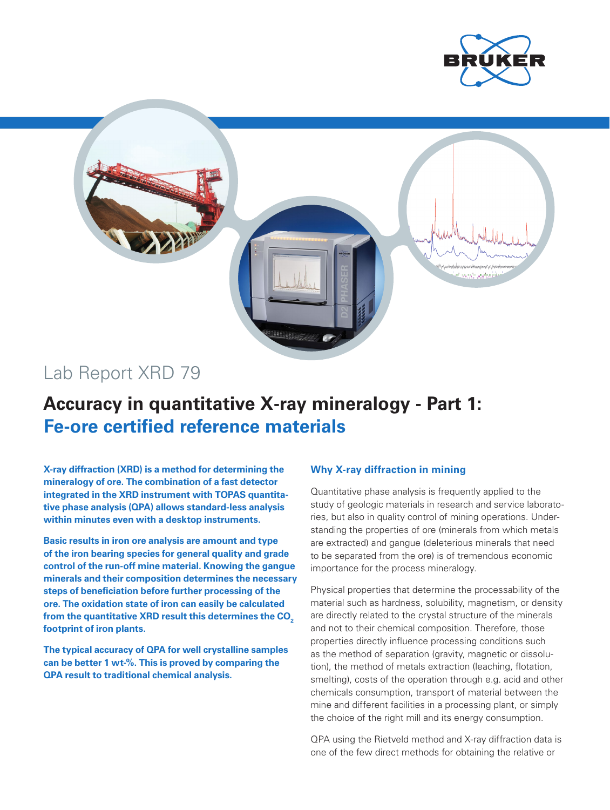



# Lab Report XRD 79

# **Accuracy in quantitative X-ray mineralogy - Part 1: Fe-ore certified reference materials**

**X-ray diffraction (XRD) is a method for determining the mineralogy of ore. The combination of a fast detector integrated in the XRD instrument with TOPAS quantitative phase analysis (QPA) allows standard-less analysis within minutes even with a desktop instruments.** 

**Basic results in iron ore analysis are amount and type of the iron bearing species for general quality and grade control of the run-off mine material. Knowing the gangue minerals and their composition determines the necessary steps of beneficiation before further processing of the ore. The oxidation state of iron can easily be calculated**  from the quantitative XRD result this determines the CO<sub>2</sub> **footprint of iron plants.**

**The typical accuracy of QPA for well crystalline samples can be better 1 wt-%. This is proved by comparing the QPA result to traditional chemical analysis.**

## **Why X-ray diffraction in mining**

Quantitative phase analysis is frequently applied to the study of geologic materials in research and service laboratories, but also in quality control of mining operations. Understanding the properties of ore (minerals from which metals are extracted) and gangue (deleterious minerals that need to be separated from the ore) is of tremendous economic importance for the process mineralogy.

Physical properties that determine the processability of the material such as hardness, solubility, magnetism, or density are directly related to the crystal structure of the minerals and not to their chemical composition. Therefore, those properties directly influence processing conditions such as the method of separation (gravity, magnetic or dissolution), the method of metals extraction (leaching, flotation, smelting), costs of the operation through e.g. acid and other chemicals consumption, transport of material between the mine and different facilities in a processing plant, or simply the choice of the right mill and its energy consumption.

QPA using the Rietveld method and X-ray diffraction data is one of the few direct methods for obtaining the relative or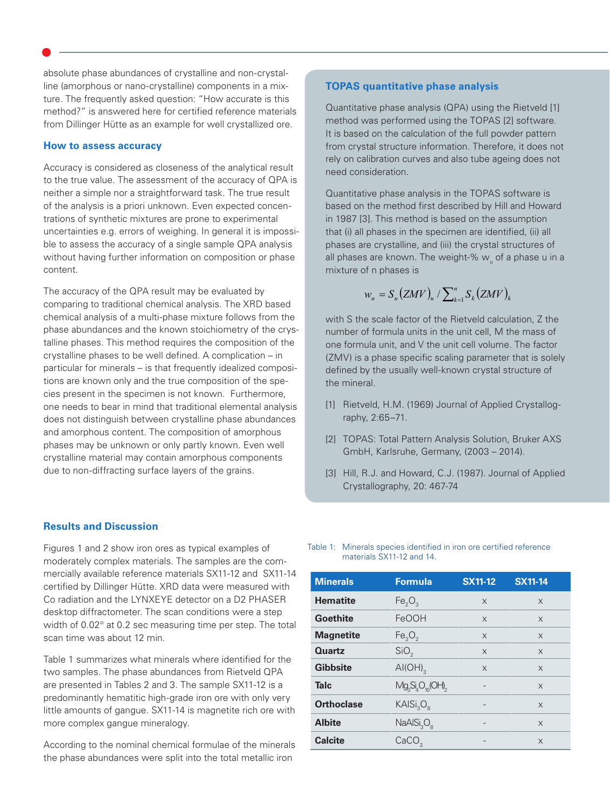absolute phase abundances of crystalline and non-crystalline (amorphous or nano-crystalline) components in a mixture. The frequently asked question: "How accurate is this method?" is answered here for certified reference materials from Dillinger Hütte as an example for well crystallized ore.

### **How to assess accuracy**

Accuracy is considered as closeness of the analytical result to the true value. The assessment of the accuracy of QPA is neither a simple nor a straightforward task. The true result of the analysis is a priori unknown. Even expected concentrations of synthetic mixtures are prone to experimental uncertainties e.g. errors of weighing. In general it is impossible to assess the accuracy of a single sample QPA analysis without having further information on composition or phase content.

The accuracy of the QPA result may be evaluated by comparing to traditional chemical analysis. The XRD based chemical analysis of a multi-phase mixture follows from the phase abundances and the known stoichiometry of the crystalline phases. This method requires the composition of the crystalline phases to be well defined. A complication – in particular for minerals – is that frequently idealized compositions are known only and the true composition of the species present in the specimen is not known. Furthermore, one needs to bear in mind that traditional elemental analysis does not distinguish between crystalline phase abundances and amorphous content. The composition of amorphous phases may be unknown or only partly known. Even well crystalline material may contain amorphous components due to non-diffracting surface layers of the grains.

## **Results and Discussion**

Figures 1 and 2 show iron ores as typical examples of moderately complex materials. The samples are the commercially available reference materials SX11-12 and SX11-14 certified by Dillinger Hütte. XRD data were measured with Co radiation and the LYNXEYE detector on a D2 PHASER desktop diffractometer. The scan conditions were a step width of 0.02° at 0.2 sec measuring time per step. The total scan time was about 12 min.

Table 1 summarizes what minerals where identified for the two samples. The phase abundances from Rietveld QPA are presented in Tables 2 and 3. The sample SX11-12 is a predominantly hematitic high-grade iron ore with only very little amounts of gangue. SX11-14 is magnetite rich ore with more complex gangue mineralogy.

According to the nominal chemical formulae of the minerals the phase abundances were split into the total metallic iron

## **TOPAS quantitative phase analysis**

Quantitative phase analysis (QPA) using the Rietveld [1] method was performed using the TOPAS [2] software. It is based on the calculation of the full powder pattern from crystal structure information. Therefore, it does not rely on calibration curves and also tube ageing does not need consideration.

Quantitative phase analysis in the TOPAS software is based on the method first described by Hill and Howard in 1987 [3]. This method is based on the assumption that (i) all phases in the specimen are identified, (ii) all phases are crystalline, and (iii) the crystal structures of all phases are known. The weight-%  $w_{\shortparallel}$  of a phase  ${\sf u}$  in a mixture of n phases is

$$
w_u = S_u(ZMV)_u / \sum\nolimits_{k=1}^n S_k(ZMV)_k
$$

with S the scale factor of the Rietveld calculation, Z the number of formula units in the unit cell, M the mass of one formula unit, and V the unit cell volume. The factor (ZMV) is a phase specific scaling parameter that is solely defined by the usually well-known crystal structure of the mineral.

- [1] Rietveld, H.M. (1969) Journal of Applied Crystallography, 2:65–71.
- [2] TOPAS: Total Pattern Analysis Solution, Bruker AXS GmbH, Karlsruhe, Germany, (2003 – 2014).
- [3] Hill, R.J. and Howard, C.J. (1987). Journal of Applied Crystallography, 20: 467-74

Table 1: Minerals species identified in iron ore certified reference materials SX11-12 and 14.

| <b>Minerals</b>   | <b>Formula</b>                     | <b>SX11-12</b> | <b>SX11-14</b> |
|-------------------|------------------------------------|----------------|----------------|
| <b>Hematite</b>   | Fe <sub>2</sub> O <sub>3</sub>     | X              | $\times$       |
| <b>Goethite</b>   | FeOOH                              | $\times$       | X              |
| <b>Magnetite</b>  | Fe <sub>3</sub> O <sub>2</sub>     | $\times$       | $\times$       |
| Quartz            | SiO <sub>2</sub>                   | $\times$       | X              |
| <b>Gibbsite</b>   | $AI(OH)_{3}$                       | X              | $\times$       |
| <b>Talc</b>       | $Mg_sSi_4O_{10}$ (OH) <sub>2</sub> |                | X              |
| <b>Orthoclase</b> | KAISi <sub>3</sub> O <sub>8</sub>  |                | $\times$       |
| <b>Albite</b>     | NaAlSi <sub>3</sub> O <sub>8</sub> |                | X              |
| <b>Calcite</b>    | CaCO <sub>2</sub>                  |                | $\times$       |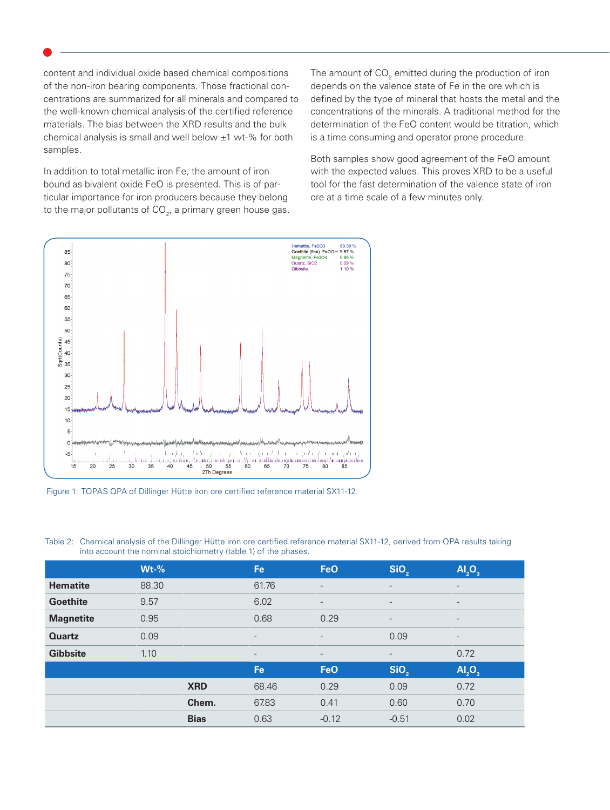content and individual oxide based chemical compositions of the non-iron bearing components. Those fractional concentrations are summarized for all minerals and compared to the well-known chemical analysis of the certified reference materials. The bias between the XRD results and the bulk chemical analysis is small and well below ±1 wt-% for both samples.

In addition to total metallic iron Fe, the amount of iron bound as bivalent oxide FeO is presented. This is of particular importance for iron producers because they belong to the major pollutants of  $CO<sub>2</sub>$ , a primary green house gas.

The amount of CO $_{\textrm{\tiny{2}}}$  emitted during the production of iron depends on the valence state of Fe in the ore which is defined by the type of mineral that hosts the metal and the concentrations of the minerals. A traditional method for the determination of the FeO content would be titration, which is a time consuming and operator prone procedure.

Both samples show good agreement of the FeO amount with the expected values. This proves XRD to be a useful tool for the fast determination of the valence state of iron ore at a time scale of a few minutes only.



Figure 1: TOPAS QPA of Dillinger Hütte iron ore certified reference material SX11-12.

|                  | $Wt-%$ |             | <b>Fe</b>                | <b>FeO</b>               | SiO <sub>2</sub>         | AI <sub>2</sub> O <sub>3</sub> |
|------------------|--------|-------------|--------------------------|--------------------------|--------------------------|--------------------------------|
| <b>Hematite</b>  | 88.30  |             | 61.76                    | $\overline{\phantom{a}}$ |                          | $\overline{\phantom{0}}$       |
| <b>Goethite</b>  | 9.57   |             | 6.02                     | $\overline{\phantom{0}}$ |                          | $\overline{\phantom{a}}$       |
| <b>Magnetite</b> | 0.95   |             | 0.68                     | 0.29                     | $\qquad \qquad -$        | $\qquad \qquad$                |
| <b>Quartz</b>    | 0.09   |             | $\overline{\phantom{a}}$ | $\overline{a}$           | 0.09                     | $\overline{\phantom{a}}$       |
| <b>Gibbsite</b>  | 1.10   |             | $\overline{\phantom{a}}$ | $\overline{\phantom{a}}$ | $\overline{\phantom{a}}$ | 0.72                           |
|                  |        |             | <b>Fe</b>                | <b>FeO</b>               | SiO <sub>2</sub>         | AI <sub>2</sub> O <sub>3</sub> |
|                  |        | <b>XRD</b>  | 68.46                    | 0.29                     | 0.09                     | 0.72                           |
|                  |        | Chem.       | 67.83                    | 0.41                     | 0.60                     | 0.70                           |
|                  |        | <b>Bias</b> | 0.63                     | $-0.12$                  | $-0.51$                  | 0.02                           |

Table 2: Chemical analysis of the Dillinger Hütte iron ore certified reference material SX11-12, derived from QPA results taking into account the nominal stoichiometry (table 1) of the phases.